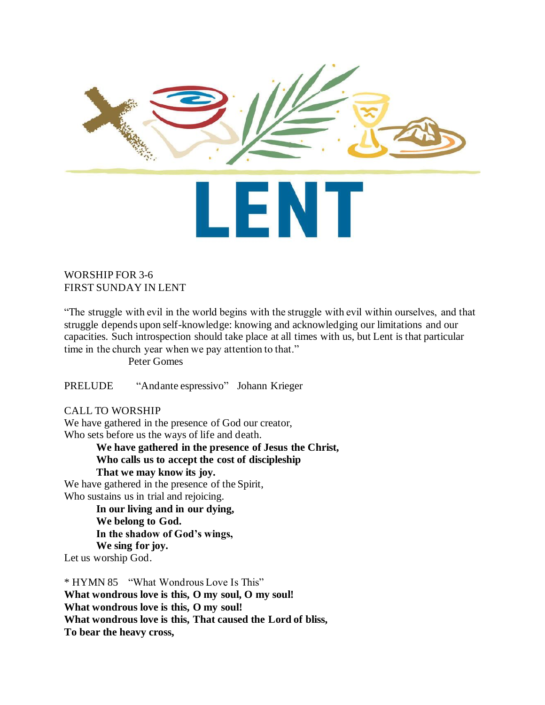

# WORSHIP FOR 3-6 FIRST SUNDAY IN LENT

"The struggle with evil in the world begins with the struggle with evil within ourselves, and that struggle depends upon self-knowledge: knowing and acknowledging our limitations and our capacities. Such introspection should take place at all times with us, but Lent is that particular time in the church year when we pay attention to that."

Peter Gomes

PRELUDE "Andante espressivo" Johann Krieger

# CALL TO WORSHIP

We have gathered in the presence of God our creator, Who sets before us the ways of life and death.

> **We have gathered in the presence of Jesus the Christ, Who calls us to accept the cost of discipleship That we may know its joy.**

We have gathered in the presence of the Spirit, Who sustains us in trial and rejoicing.

> **In our living and in our dying, We belong to God. In the shadow of God's wings, We sing for joy.**

Let us worship God.

\* HYMN 85 "What Wondrous Love Is This" **What wondrous love is this, O my soul, O my soul! What wondrous love is this, O my soul! What wondrous love is this, That caused the Lord of bliss, To bear the heavy cross,**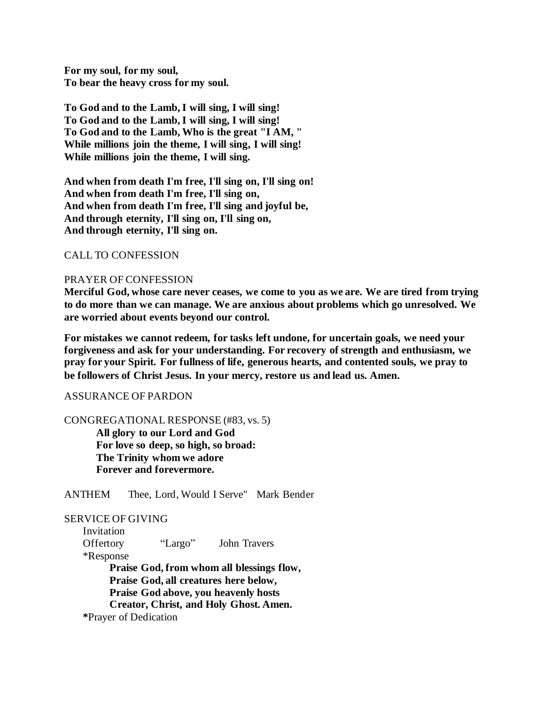**For my soul, for my soul, To bear the heavy cross for my soul.**

**To God and to the Lamb, I will sing, I will sing! To God and to the Lamb, I will sing, I will sing! To God and to the Lamb, Who is the great "I AM, " While millions join the theme, I will sing, I will sing! While millions join the theme, I will sing.**

**And when from death I'm free, I'll sing on, I'll sing on! And when from death I'm free, I'll sing on, And when from death I'm free, I'll sing and joyful be, And through eternity, I'll sing on, I'll sing on, And through eternity, I'll sing on.**

# CALL TO CONFESSION

### PRAYER OF CONFESSION

**Merciful God, whose care never ceases, we come to you as we are. We are tired from trying to do more than we can manage. We are anxious about problems which go unresolved. We are worried about events beyond our control.** 

**For mistakes we cannot redeem, for tasks left undone, for uncertain goals, we need your forgiveness and ask for your understanding. For recovery of strength and enthusiasm, we pray for your Spirit. For fullness of life, generous hearts, and contented souls, we pray to be followers of Christ Jesus. In your mercy, restore us and lead us. Amen.**

#### ASSURANCE OF PARDON

CONGREGATIONAL RESPONSE (#83, vs. 5)

**All glory to our Lord and God For love so deep, so high, so broad: The Trinity whom we adore Forever and forevermore.**

ANTHEM Thee, Lord, Would I Serve" Mark Bender

## SERVICE OF GIVING

 Invitation Offertory "Largo" John Travers \*Response **Praise God, from whom all blessings flow, Praise God, all creatures here below, Praise God above, you heavenly hosts Creator, Christ, and Holy Ghost. Amen. \***Prayer of Dedication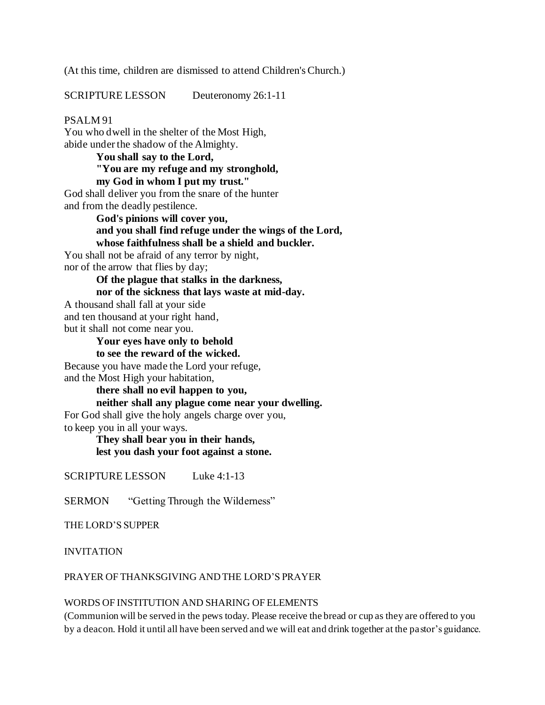(At this time, children are dismissed to attend Children's Church.)

SCRIPTURE LESSON Deuteronomy 26:1-11

### PSALM 91

You who dwell in the shelter of the Most High, abide under the shadow of the Almighty.

**You shall say to the Lord, "You are my refuge and my stronghold, my God in whom I put my trust."**

God shall deliver you from the snare of the hunter and from the deadly pestilence.

> **God's pinions will cover you, and you shall find refuge under the wings of the Lord, whose faithfulness shall be a shield and buckler.**

You shall not be afraid of any terror by night, nor of the arrow that flies by day;

> **Of the plague that stalks in the darkness, nor of the sickness that lays waste at mid-day.**

A thousand shall fall at your side and ten thousand at your right hand, but it shall not come near you.

> **Your eyes have only to behold to see the reward of the wicked.**

Because you have made the Lord your refuge, and the Most High your habitation,

**there shall no evil happen to you,** 

**neither shall any plague come near your dwelling.**

For God shall give the holy angels charge over you,

to keep you in all your ways.

**They shall bear you in their hands, lest you dash your foot against a stone.**

SCRIPTURE LESSON Luke 4:1-13

SERMON "Getting Through the Wilderness"

THE LORD'S SUPPER

INVITATION

PRAYER OF THANKSGIVING AND THE LORD'S PRAYER

#### WORDS OF INSTITUTION AND SHARING OF ELEMENTS

(Communion will be served in the pews today. Please receive the bread or cup as they are offered to you by a deacon. Hold it until all have been served and we will eat and drink together at the pastor's guidance.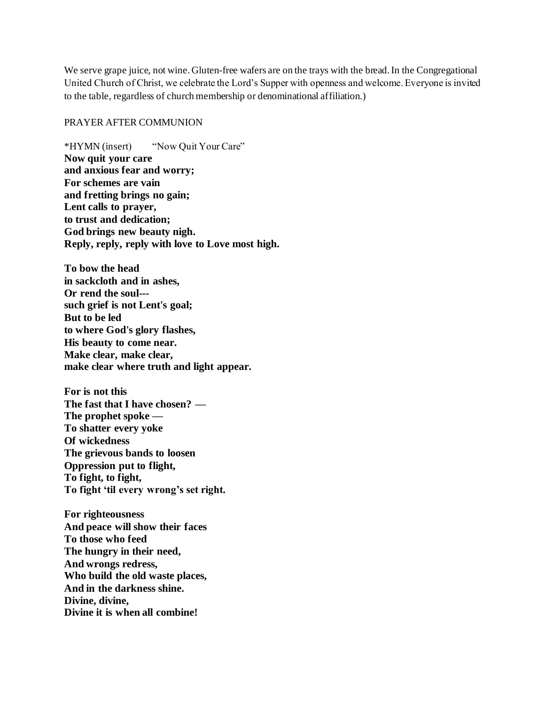We serve grape juice, not wine. Gluten-free wafers are on the trays with the bread. In the Congregational United Church of Christ, we celebrate the Lord's Supper with openness and welcome. Everyone is invited to the table, regardless of church membership or denominational affiliation.)

#### PRAYER AFTER COMMUNION

\*HYMN (insert) "Now Quit Your Care" **Now quit your care and anxious fear and worry; For schemes are vain and fretting brings no gain; Lent calls to prayer, to trust and dedication; God brings new beauty nigh. Reply, reply, reply with love to Love most high.**

**To bow the head in sackcloth and in ashes, Or rend the soul-- such grief is not Lent's goal; But to be led to where God's glory flashes, His beauty to come near. Make clear, make clear, make clear where truth and light appear.**

**For is not this The fast that I have chosen? — The prophet spoke — To shatter every yoke Of wickedness The grievous bands to loosen Oppression put to flight, To fight, to fight, To fight 'til every wrong's set right.**

**For righteousness And peace will show their faces To those who feed The hungry in their need, And wrongs redress, Who build the old waste places, And in the darkness shine. Divine, divine, Divine it is when all combine!**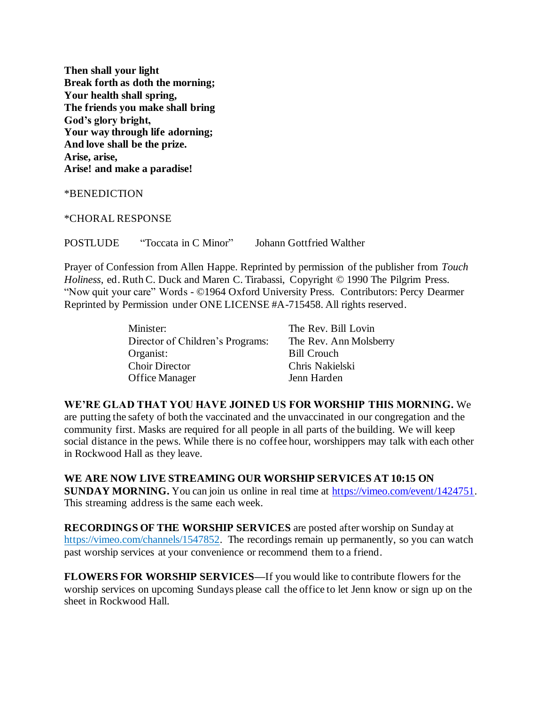**Then shall your light Break forth as doth the morning; Your health shall spring, The friends you make shall bring God's glory bright, Your way through life adorning; And love shall be the prize. Arise, arise, Arise! and make a paradise!**

\*BENEDICTION

\*CHORAL RESPONSE

POSTLUDE "Toccata in C Minor" Johann Gottfried Walther

Prayer of Confession from Allen Happe. Reprinted by permission of the publisher from *Touch Holiness*, ed. Ruth C. Duck and Maren C. Tirabassi, Copyright © 1990 The Pilgrim Press. "Now quit your care" Words - ©1964 Oxford University Press. Contributors: Percy Dearmer Reprinted by Permission under ONE LICENSE #A-715458. All rights reserved.

| Minister:                        | The Rev. Bill Lovin    |
|----------------------------------|------------------------|
| Director of Children's Programs: | The Rev. Ann Molsberry |
| Organist:                        | <b>Bill Crouch</b>     |
| <b>Choir Director</b>            | Chris Nakielski        |
| Office Manager                   | Jenn Harden            |

**WE'RE GLAD THAT YOU HAVE JOINED US FOR WORSHIP THIS MORNING.** We are putting the safety of both the vaccinated and the unvaccinated in our congregation and the community first. Masks are required for all people in all parts of the building. We will keep social distance in the pews. While there is no coffee hour, worshippers may talk with each other in Rockwood Hall as they leave.

**WE ARE NOW LIVE STREAMING OUR WORSHIP SERVICES AT 10:15 ON SUNDAY MORNING.** You can join us online in real time at https://vimeo.com/event/1424751. This streaming address is the same each week.

**RECORDINGS OF THE WORSHIP SERVICES** are posted after worship on Sunday at [https://vimeo.com/channels/1547852.](https://vimeo.com/channels/1547852) The recordings remain up permanently, so you can watch past worship services at your convenience or recommend them to a friend.

**FLOWERS FOR WORSHIP SERVICES—**If you would like to contribute flowers for the worship services on upcoming Sundays please call the office to let Jenn know or sign up on the sheet in Rockwood Hall.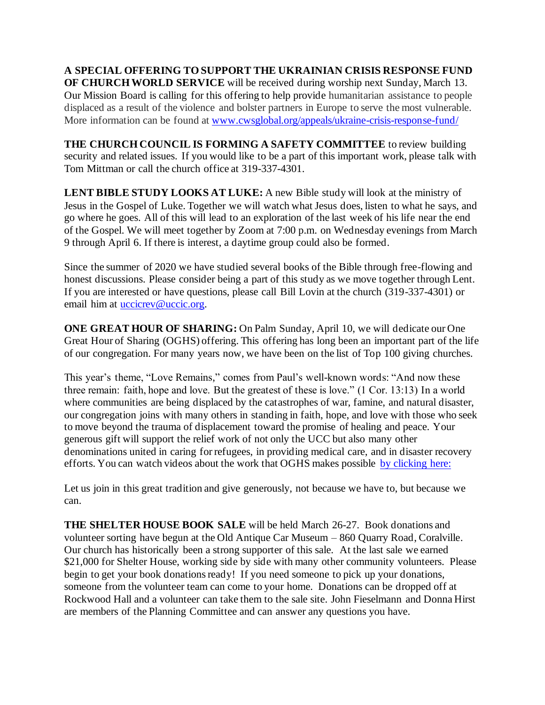**A SPECIAL OFFERING TO SUPPORT THE UKRAINIAN CRISIS RESPONSE FUND OF CHURCH WORLD SERVICE** will be received during worship next Sunday, March 13. Our Mission Board is calling for this offering to help provide humanitarian assistance to people displaced as a result of the violence and bolster partners in Europe to serve the most vulnerable. More information can be found a[t www.cwsglobal.org/appeals/ukraine-crisis-response-fund/](http://www.cwsglobal.org/appeals/ukraine-crisis-response-fund/)

**THE CHURCH COUNCIL IS FORMING A SAFETY COMMITTEE** to review building security and related issues. If you would like to be a part of this important work, please talk with Tom Mittman or call the church office at 319-337-4301.

**LENT BIBLE STUDY LOOKS AT LUKE:** A new Bible study will look at the ministry of Jesus in the Gospel of Luke. Together we will watch what Jesus does, listen to what he says, and go where he goes. All of this will lead to an exploration of the last week of his life near the end of the Gospel. We will meet together by Zoom at 7:00 p.m. on Wednesday evenings from March 9 through April 6. If there is interest, a daytime group could also be formed.

Since the summer of 2020 we have studied several books of the Bible through free-flowing and honest discussions. Please consider being a part of this study as we move together through Lent. If you are interested or have questions, please call Bill Lovin at the church (319-337-4301) or email him at uccicrev@uccic.org.

**ONE GREAT HOUR OF SHARING:** On Palm Sunday, April 10, we will dedicate our One Great Hour of Sharing (OGHS) offering. This offering has long been an important part of the life of our congregation. For many years now, we have been on the list of Top 100 giving churches.

This year's theme, "Love Remains," comes from Paul's well-known words: "And now these three remain: faith, hope and love. But the greatest of these is love." (1 Cor. 13:13) In a world where communities are being displaced by the catastrophes of war, famine, and natural disaster, our congregation joins with many others in standing in faith, hope, and love with those who seek to move beyond the trauma of displacement toward the promise of healing and peace. Your generous gift will support the relief work of not only the UCC but also many other denominations united in caring for refugees, in providing medical care, and in disaster recovery efforts. You can watch videos about the work that OGHS makes possible [by clicking here:](https://www.ucc.org/oghs_oghs-videos/)

Let us join in this great tradition and give generously, not because we have to, but because we can.

**THE SHELTER HOUSE BOOK SALE** will be held March 26-27. Book donations and volunteer sorting have begun at the Old Antique Car Museum – 860 Quarry Road, Coralville. Our church has historically been a strong supporter of this sale. At the last sale we earned \$21,000 for Shelter House, working side by side with many other community volunteers. Please begin to get your book donations ready! If you need someone to pick up your donations, someone from the volunteer team can come to your home. Donations can be dropped off at Rockwood Hall and a volunteer can take them to the sale site. John Fieselmann and Donna Hirst are members of the Planning Committee and can answer any questions you have.